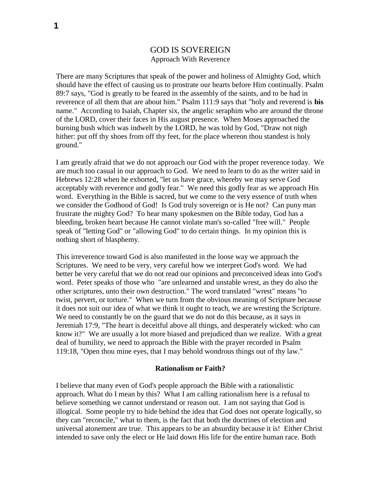# GOD IS SOVEREIGN Approach With Reverence

There are many Scriptures that speak of the power and holiness of Almighty God, which should have the effect of causing us to prostrate our hearts before Him continually. Psalm 89:7 says, "God is greatly to be feared in the assembly of the saints, and to be had in reverence of all them that are about him." Psalm 111:9 says that "holy and reverend is **his** name." According to Isaiah, Chapter six, the angelic seraphim who are around the throne of the LORD, cover their faces in His august presence. When Moses approached the burning bush which was indwelt by the LORD, he was told by God, "Draw not nigh hither: put off thy shoes from off thy feet, for the place whereon thou standest is holy ground."

I am greatly afraid that we do not approach our God with the proper reverence today. We are much too casual in our approach to God. We need to learn to do as the writer said in Hebrews 12:28 when he exhorted, "let us have grace, whereby we may serve God acceptably with reverence and godly fear." We need this godly fear as we approach His word. Everything in the Bible is sacred, but we come to the very essence of truth when we consider the Godhood of God! Is God truly sovereign or is He not? Can puny man frustrate the mighty God? To hear many spokesmen on the Bible today, God has a bleeding, broken heart because He cannot violate man's so-called "free will." People speak of "letting God" or "allowing God" to do certain things. In my opinion this is nothing short of blasphemy.

This irreverence toward God is also manifested in the loose way we approach the Scriptures. We need to be very, very careful how we interpret God's word. We had better be very careful that we do not read our opinions and preconceived ideas into God's word. Peter speaks of those who "are unlearned and unstable wrest, as they do also the other scriptures, unto their own destruction." The word translated "wrest" means "to twist, pervert, or torture." When we turn from the obvious meaning of Scripture because it does not suit our idea of what we think it ought to teach, we are wresting the Scripture. We need to constantly be on the guard that we do not do this because, as it says in Jeremiah 17:9, "The heart is deceitful above all things, and desperately wicked: who can know it?" We are usually a lot more biased and prejudiced than we realize. With a great deal of humility, we need to approach the Bible with the prayer recorded in Psalm 119:18, "Open thou mine eyes, that I may behold wondrous things out of thy law."

#### **Rationalism or Faith?**

I believe that many even of God's people approach the Bible with a rationalistic approach. What do I mean by this? What I am calling rationalism here is a refusal to believe something we cannot understand or reason out. I am not saying that God is illogical. Some people try to hide behind the idea that God does not operate logically, so they can "reconcile," what to them, is the fact that both the doctrines of election and universal atonement are true. This appears to be an absurdity because it is! Either Christ intended to save only the elect or He laid down His life for the entire human race. Both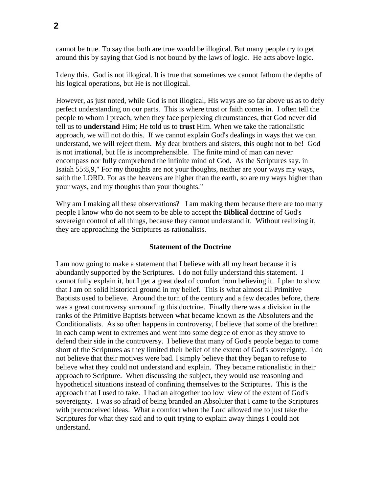cannot be true. To say that both are true would be illogical. But many people try to get around this by saying that God is not bound by the laws of logic. He acts above logic.

I deny this. God is not illogical. It is true that sometimes we cannot fathom the depths of his logical operations, but He is not illogical.

However, as just noted, while God is not illogical, His ways are so far above us as to defy perfect understanding on our parts. This is where trust or faith comes in. I often tell the people to whom I preach, when they face perplexing circumstances, that God never did tell us to **understand** Him; He told us to **trust** Him. When we take the rationalistic approach, we will not do this. If we cannot explain God's dealings in ways that we can understand, we will reject them. My dear brothers and sisters, this ought not to be! God is not irrational, but He is incomprehensible. The finite mind of man can never encompass nor fully comprehend the infinite mind of God. As the Scriptures say. in Isaiah 55:8,9," For my thoughts are not your thoughts, neither are your ways my ways, saith the LORD. For as the heavens are higher than the earth, so are my ways higher than your ways, and my thoughts than your thoughts."

Why am I making all these observations? I am making them because there are too many people I know who do not seem to be able to accept the **Biblical** doctrine of God's sovereign control of all things, because they cannot understand it. Without realizing it, they are approaching the Scriptures as rationalists.

# **Statement of the Doctrine**

I am now going to make a statement that I believe with all my heart because it is abundantly supported by the Scriptures. I do not fully understand this statement. I cannot fully explain it, but I get a great deal of comfort from believing it. I plan to show that I am on solid historical ground in my belief. This is what almost all Primitive Baptists used to believe. Around the turn of the century and a few decades before, there was a great controversy surrounding this doctrine. Finally there was a division in the ranks of the Primitive Baptists between what became known as the Absoluters and the Conditionalists. As so often happens in controversy, I believe that some of the brethren in each camp went to extremes and went into some degree of error as they strove to defend their side in the controversy. I believe that many of God's people began to come short of the Scriptures as they limited their belief of the extent of God's sovereignty. I do not believe that their motives were bad. I simply believe that they began to refuse to believe what they could not understand and explain. They became rationalistic in their approach to Scripture. When discussing the subject, they would use reasoning and hypothetical situations instead of confining themselves to the Scriptures. This is the approach that I used to take. I had an altogether too low view of the extent of God's sovereignty. I was so afraid of being branded an Absoluter that I came to the Scriptures with preconceived ideas. What a comfort when the Lord allowed me to just take the Scriptures for what they said and to quit trying to explain away things I could not understand.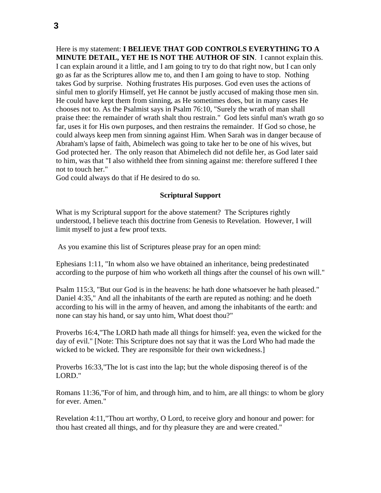Here is my statement: **I BELIEVE THAT GOD CONTROLS EVERYTHING TO A MINUTE DETAIL, YET HE IS NOT THE AUTHOR OF SIN**. I cannot explain this. I can explain around it a little, and I am going to try to do that right now, but I can only go as far as the Scriptures allow me to, and then I am going to have to stop. Nothing takes God by surprise. Nothing frustrates His purposes. God even uses the actions of sinful men to glorify Himself, yet He cannot be justly accused of making those men sin. He could have kept them from sinning, as He sometimes does, but in many cases He chooses not to. As the Psalmist says in Psalm 76:10, "Surely the wrath of man shall praise thee: the remainder of wrath shalt thou restrain." God lets sinful man's wrath go so far, uses it for His own purposes, and then restrains the remainder. If God so chose, he could always keep men from sinning against Him. When Sarah was in danger because of Abraham's lapse of faith, Abimelech was going to take her to be one of his wives, but God protected her. The only reason that Abimelech did not defile her, as God later said to him, was that "I also withheld thee from sinning against me: therefore suffered I thee not to touch her."

God could always do that if He desired to do so.

# **Scriptural Support**

What is my Scriptural support for the above statement? The Scriptures rightly understood, I believe teach this doctrine from Genesis to Revelation. However, I will limit myself to just a few proof texts.

As you examine this list of Scriptures please pray for an open mind:

Ephesians 1:11, "In whom also we have obtained an inheritance, being predestinated according to the purpose of him who worketh all things after the counsel of his own will."

Psalm 115:3, "But our God is in the heavens: he hath done whatsoever he hath pleased." Daniel 4:35," And all the inhabitants of the earth are reputed as nothing: and he doeth according to his will in the army of heaven, and among the inhabitants of the earth: and none can stay his hand, or say unto him, What doest thou?"

Proverbs 16:4,"The LORD hath made all things for himself: yea, even the wicked for the day of evil." [Note: This Scripture does not say that it was the Lord Who had made the wicked to be wicked. They are responsible for their own wickedness.]

Proverbs 16:33,"The lot is cast into the lap; but the whole disposing thereof is of the LORD."

Romans 11:36,"For of him, and through him, and to him, are all things: to whom be glory for ever. Amen."

Revelation 4:11,"Thou art worthy, O Lord, to receive glory and honour and power: for thou hast created all things, and for thy pleasure they are and were created."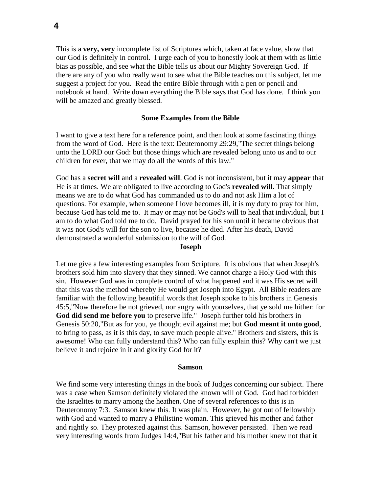This is a **very, very** incomplete list of Scriptures which, taken at face value, show that our God is definitely in control. I urge each of you to honestly look at them with as little bias as possible, and see what the Bible tells us about our Mighty Sovereign God. If there are any of you who really want to see what the Bible teaches on this subject, let me suggest a project for you. Read the entire Bible through with a pen or pencil and notebook at hand. Write down everything the Bible says that God has done. I think you will be amazed and greatly blessed.

#### **Some Examples from the Bible**

I want to give a text here for a reference point, and then look at some fascinating things from the word of God. Here is the text: Deuteronomy 29:29,"The secret things belong unto the LORD our God: but those things which are revealed belong unto us and to our children for ever, that we may do all the words of this law."

God has a **secret will** and a **revealed will**. God is not inconsistent, but it may **appear** that He is at times. We are obligated to live according to God's **revealed will**. That simply means we are to do what God has commanded us to do and not ask Him a lot of questions. For example, when someone I love becomes ill, it is my duty to pray for him, because God has told me to. It may or may not be God's will to heal that individual, but I am to do what God told me to do. David prayed for his son until it became obvious that it was not God's will for the son to live, because he died. After his death, David demonstrated a wonderful submission to the will of God.

### **Joseph**

Let me give a few interesting examples from Scripture. It is obvious that when Joseph's brothers sold him into slavery that they sinned. We cannot charge a Holy God with this sin. However God was in complete control of what happened and it was His secret will that this was the method whereby He would get Joseph into Egypt. All Bible readers are familiar with the following beautiful words that Joseph spoke to his brothers in Genesis 45:5,"Now therefore be not grieved, nor angry with yourselves, that ye sold me hither: for **God did send me before you** to preserve life." Joseph further told his brothers in Genesis 50:20,"But as for you, ye thought evil against me; but **God meant it unto good**, to bring to pass, as it is this day, to save much people alive." Brothers and sisters, this is awesome! Who can fully understand this? Who can fully explain this? Why can't we just believe it and rejoice in it and glorify God for it?

#### **Samson**

We find some very interesting things in the book of Judges concerning our subject. There was a case when Samson definitely violated the known will of God. God had forbidden the Israelites to marry among the heathen. One of several references to this is in Deuteronomy 7:3. Samson knew this. It was plain. However, he got out of fellowship with God and wanted to marry a Philistine woman. This grieved his mother and father and rightly so. They protested against this. Samson, however persisted. Then we read very interesting words from Judges 14:4,"But his father and his mother knew not that **it**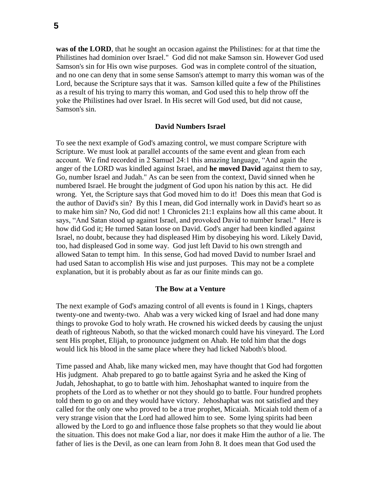was of the LORD, that he sought an occasion against the Philistines: for at that time the Philistines had dominion over Israel." God did not make Samson sin. However God used Samson's sin for His own wise purposes. God was in complete control of the situation, and no one can deny that in some sense Samson's attempt to marry this woman was of the Lord, because the Scripture says that it was. Samson killed quite a few of the Philistines as a result of his trying to marry this woman, and God used this to help throw off the yoke the Philistines had over Israel. In His secret will God used, but did not cause, Samson's sin.

### **David Numbers Israel**

To see the next example of God's amazing control, we must compare Scripture with Scripture. We must look at parallel accounts of the same event and glean from each account. We find recorded in 2 Samuel 24:1 this amazing language, "And again the anger of the LORD was kindled against Israel, and **he moved David** against them to say, Go, number Israel and Judah." As can be seen from the context, David sinned when he numbered Israel. He brought the judgment of God upon his nation by this act. He did wrong. Yet, the Scripture says that God moved him to do it! Does this mean that God is the author of David's sin? By this I mean, did God internally work in David's heart so as to make him sin? No, God did not! 1 Chronicles 21:1 explains how all this came about. It says, "And Satan stood up against Israel, and provoked David to number Israel." Here is how did God it; He turned Satan loose on David. God's anger had been kindled against Israel, no doubt, because they had displeased Him by disobeying his word. Likely David, too, had displeased God in some way. God just left David to his own strength and allowed Satan to tempt him. In this sense, God had moved David to number Israel and had used Satan to accomplish His wise and just purposes. This may not be a complete explanation, but it is probably about as far as our finite minds can go.

## **The Bow at a Venture**

The next example of God's amazing control of all events is found in 1 Kings, chapters twenty-one and twenty-two. Ahab was a very wicked king of Israel and had done many things to provoke God to holy wrath. He crowned his wicked deeds by causing the unjust death of righteous Naboth, so that the wicked monarch could have his vineyard. The Lord sent His prophet, Elijah, to pronounce judgment on Ahab. He told him that the dogs would lick his blood in the same place where they had licked Naboth's blood.

Time passed and Ahab, like many wicked men, may have thought that God had forgotten His judgment. Ahab prepared to go to battle against Syria and he asked the King of Judah, Jehoshaphat, to go to battle with him. Jehoshaphat wanted to inquire from the prophets of the Lord as to whether or not they should go to battle. Four hundred prophets told them to go on and they would have victory. Jehoshaphat was not satisfied and they called for the only one who proved to be a true prophet, Micaiah. Micaiah told them of a very strange vision that the Lord had allowed him to see. Some lying spirits had been allowed by the Lord to go and influence those false prophets so that they would lie about the situation. This does not make God a liar, nor does it make Him the author of a lie. The father of lies is the Devil, as one can learn from John 8. It does mean that God used the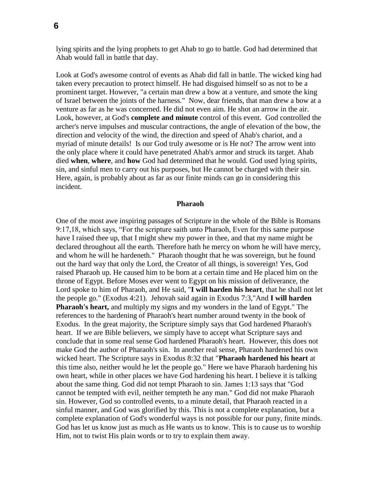lying spirits and the lying prophets to get Ahab to go to battle. God had determined that Ahab would fall in battle that day.

Look at God's awesome control of events as Ahab did fall in battle. The wicked king had taken every precaution to protect himself. He had disguised himself so as not to be a prominent target. However, "a certain man drew a bow at a venture, and smote the king of Israel between the joints of the harness." Now, dear friends, that man drew a bow at a venture as far as he was concerned. He did not even aim. He shot an arrow in the air. Look, however, at God's **complete and minute** control of this event. God controlled the archer's nerve impulses and muscular contractions, the angle of elevation of the bow, the direction and velocity of the wind, the direction and speed of Ahab's chariot, and a myriad of minute details! Is our God truly awesome or is He not? The arrow went into the only place where it could have penetrated Ahab's armor and struck its target. Ahab died **when**, **where**, and **how** God had determined that he would. God used lying spirits, sin, and sinful men to carry out his purposes, but He cannot be charged with their sin. Here, again, is probably about as far as our finite minds can go in considering this incident.

#### **Pharaoh**

One of the most awe inspiring passages of Scripture in the whole of the Bible is Romans 9:17,18, which says, "For the scripture saith unto Pharaoh, Even for this same purpose have I raised thee up, that I might shew my power in thee, and that my name might be declared throughout all the earth. Therefore hath he mercy on whom he will have mercy, and whom he will he hardeneth." Pharaoh thought that he was sovereign, but he found out the hard way that only the Lord, the Creator of all things, is sovereign! Yes, God raised Pharaoh up. He caused him to be born at a certain time and He placed him on the throne of Egypt. Before Moses ever went to Egypt on his mission of deliverance, the Lord spoke to him of Pharaoh, and He said, "**I will harden his heart**, that he shall not let the people go." (Exodus 4:21). Jehovah said again in Exodus 7:3,"And **I will harden Pharaoh's heart,** and multiply my signs and my wonders in the land of Egypt." The references to the hardening of Pharaoh's heart number around twenty in the book of Exodus. In the great majority, the Scripture simply says that God hardened Pharaoh's heart. If we are Bible believers, we simply have to accept what Scripture says and conclude that in some real sense God hardened Pharaoh's heart. However, this does not make God the author of Pharaoh's sin. In another real sense, Pharaoh hardened his own wicked heart. The Scripture says in Exodus 8:32 that "**Pharaoh hardened his heart** at this time also, neither would he let the people go." Here we have Pharaoh hardening his own heart, while in other places we have God hardening his heart. I believe it is talking about the same thing. God did not tempt Pharaoh to sin. James 1:13 says that "God cannot be tempted with evil, neither tempteth he any man." God did not make Pharaoh sin. However, God so controlled events, to a minute detail, that Pharaoh reacted in a sinful manner, and God was glorified by this. This is not a complete explanation, but a complete explanation of God's wonderful ways is not possible for our puny, finite minds. God has let us know just as much as He wants us to know. This is to cause us to worship Him, not to twist His plain words or to try to explain them away.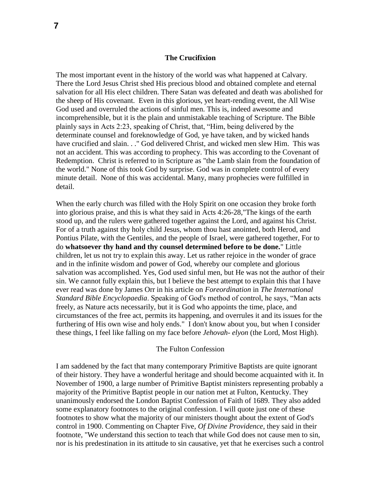# **The Crucifixion**

The most important event in the history of the world was what happened at Calvary. There the Lord Jesus Christ shed His precious blood and obtained complete and eternal salvation for all His elect children. There Satan was defeated and death was abolished for the sheep of His covenant. Even in this glorious, yet heart-rending event, the All Wise God used and overruled the actions of sinful men. This is, indeed awesome and incomprehensible, but it is the plain and unmistakable teaching of Scripture. The Bible plainly says in Acts 2:23, speaking of Christ, that, "Him, being delivered by the determinate counsel and foreknowledge of God, ye have taken, and by wicked hands have crucified and slain. . ." God delivered Christ, and wicked men slew Him. This was not an accident. This was according to prophecy. This was according to the Covenant of Redemption. Christ is referred to in Scripture as "the Lamb slain from the foundation of the world." None of this took God by surprise. God was in complete control of every minute detail. None of this was accidental. Many, many prophecies were fulfilled in detail.

When the early church was filled with the Holy Spirit on one occasion they broke forth into glorious praise, and this is what they said in Acts 4:26-28,"The kings of the earth stood up, and the rulers were gathered together against the Lord, and against his Christ. For of a truth against thy holy child Jesus, whom thou hast anointed, both Herod, and Pontius Pilate, with the Gentiles, and the people of Israel, were gathered together, For to do **whatsoever thy hand and thy counsel determined before to be done.**" Little children, let us not try to explain this away. Let us rather rejoice in the wonder of grace and in the infinite wisdom and power of God, whereby our complete and glorious salvation was accomplished. Yes, God used sinful men, but He was not the author of their sin. We cannot fully explain this, but I believe the best attempt to explain this that I have ever read was done by James Orr in his article on *Foreordination* in *The International Standard Bible Encyclopaedia*. Speaking of God's method of control, he says, "Man acts freely, as Nature acts necessarily, but it is God who appoints the time, place, and circumstances of the free act, permits its happening, and overrules it and its issues for the furthering of His own wise and holy ends." I don't know about you, but when I consider these things, I feel like falling on my face before *Jehovah- elyon* (the Lord, Most High).

# The Fulton Confession

I am saddened by the fact that many contemporary Primitive Baptists are quite ignorant of their history. They have a wonderful heritage and should become acquainted with it. In November of 1900, a large number of Primitive Baptist ministers representing probably a majority of the Primitive Baptist people in our nation met at Fulton, Kentucky. They unanimously endorsed the London Baptist Confession of Faith of 1689. They also added some explanatory footnotes to the original confession. I will quote just one of these footnotes to show what the majority of our ministers thought about the extent of God's control in 1900. Commenting on Chapter Five, *Of Divine Providence*, they said in their footnote, "We understand this section to teach that while God does not cause men to sin, nor is his predestination in its attitude to sin causative, yet that he exercises such a control